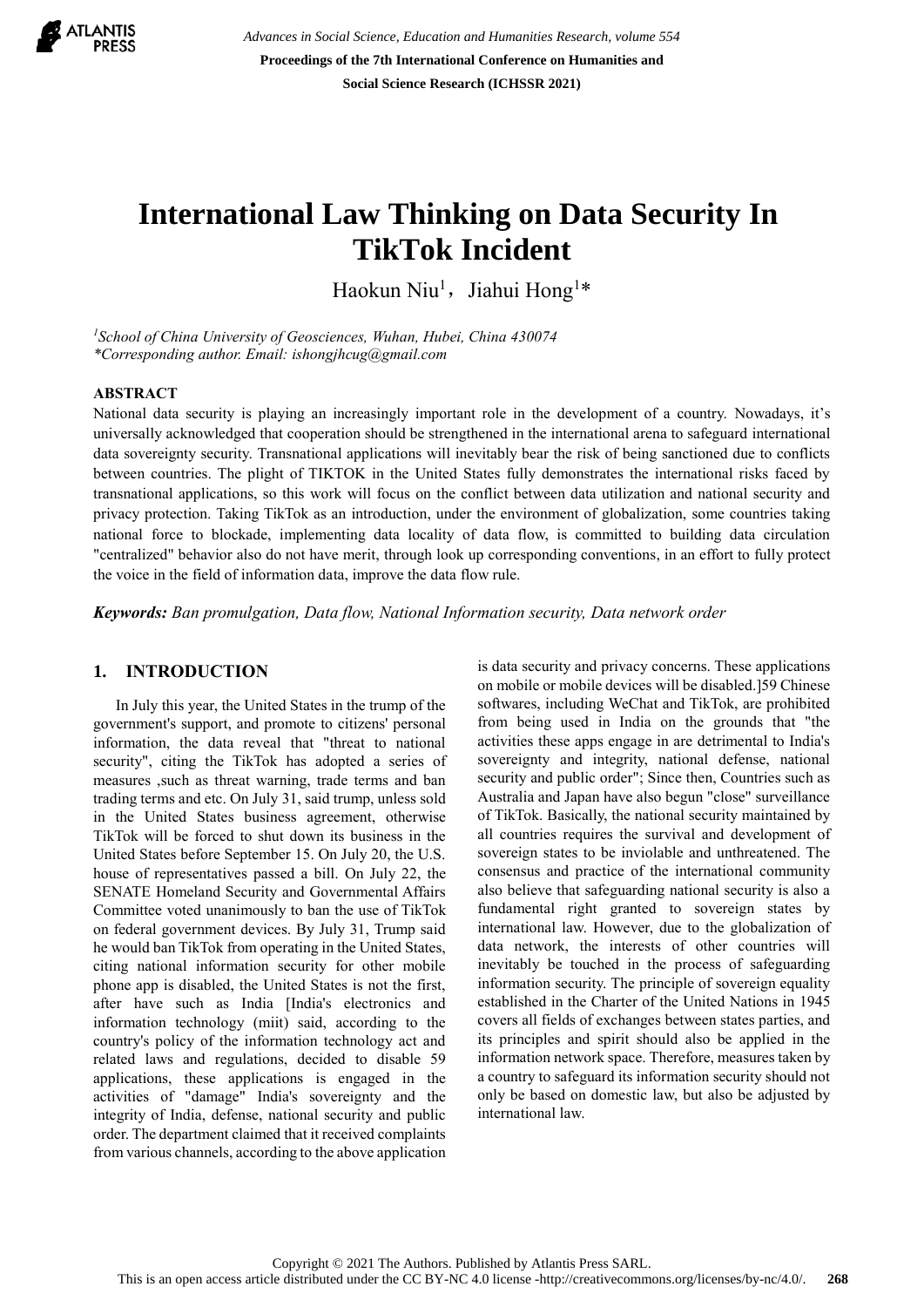

*Advances in Social Science, Education and Humanities Research, volume 554* **Proceedings of the 7th International Conference on Humanities and Social Science Research (ICHSSR 2021)**

# **International Law Thinking on Data Security In TikTok Incident**

Haokun Niu<sup>1</sup>, Jiahui Hong<sup>1\*</sup>

*<sup>1</sup>School of China University of Geosciences, Wuhan, Hubei, China 430074 \*Corresponding author. Email: ishongjhcug@gmail.com*

#### **ABSTRACT**

National data security is playing an increasingly important role in the development of a country. Nowadays, it's universally acknowledged that cooperation should be strengthened in the international arena to safeguard international data sovereignty security. Transnational applications will inevitably bear the risk of being sanctioned due to conflicts between countries. The plight of TIKTOK in the United States fully demonstrates the international risks faced by transnational applications, so this work will focus on the conflict between data utilization and national security and privacy protection. Taking TikTok as an introduction, under the environment of globalization, some countries taking national force to blockade, implementing data locality of data flow, is committed to building data circulation "centralized" behavior also do not have merit, through look up corresponding conventions, in an effort to fully protect the voice in the field of information data, improve the data flow rule.

*Keywords: Ban promulgation, Data flow, National Information security, Data network order*

### **1. INTRODUCTION**

In July this year, the United States in the trump of the government's support, and promote to citizens' personal information, the data reveal that "threat to national security", citing the TikTok has adopted a series of measures ,such as threat warning, trade terms and ban trading terms and etc. On July 31, said trump, unless sold in the United States business agreement, otherwise TikTok will be forced to shut down its business in the United States before September 15. On July 20, the U.S. house of representatives passed a bill. On July 22, the SENATE Homeland Security and Governmental Affairs Committee voted unanimously to ban the use of TikTok on federal government devices. By July 31, Trump said he would ban TikTok from operating in the United States, citing national information security for other mobile phone app is disabled, the United States is not the first, after have such as India [India's electronics and information technology (miit) said, according to the country's policy of the information technology act and related laws and regulations, decided to disable 59 applications, these applications is engaged in the activities of "damage" India's sovereignty and the integrity of India, defense, national security and public order. The department claimed that it received complaints from various channels, according to the above application is data security and privacy concerns. These applications on mobile or mobile devices will be disabled.]59 Chinese softwares, including WeChat and TikTok, are prohibited from being used in India on the grounds that "the activities these apps engage in are detrimental to India's sovereignty and integrity, national defense, national security and public order"; Since then, Countries such as Australia and Japan have also begun "close" surveillance of TikTok. Basically, the national security maintained by all countries requires the survival and development of sovereign states to be inviolable and unthreatened. The consensus and practice of the international community also believe that safeguarding national security is also a fundamental right granted to sovereign states by international law. However, due to the globalization of data network, the interests of other countries will inevitably be touched in the process of safeguarding information security. The principle of sovereign equality established in the Charter of the United Nations in 1945 covers all fields of exchanges between states parties, and its principles and spirit should also be applied in the information network space. Therefore, measures taken by a country to safeguard its information security should not only be based on domestic law, but also be adjusted by international law.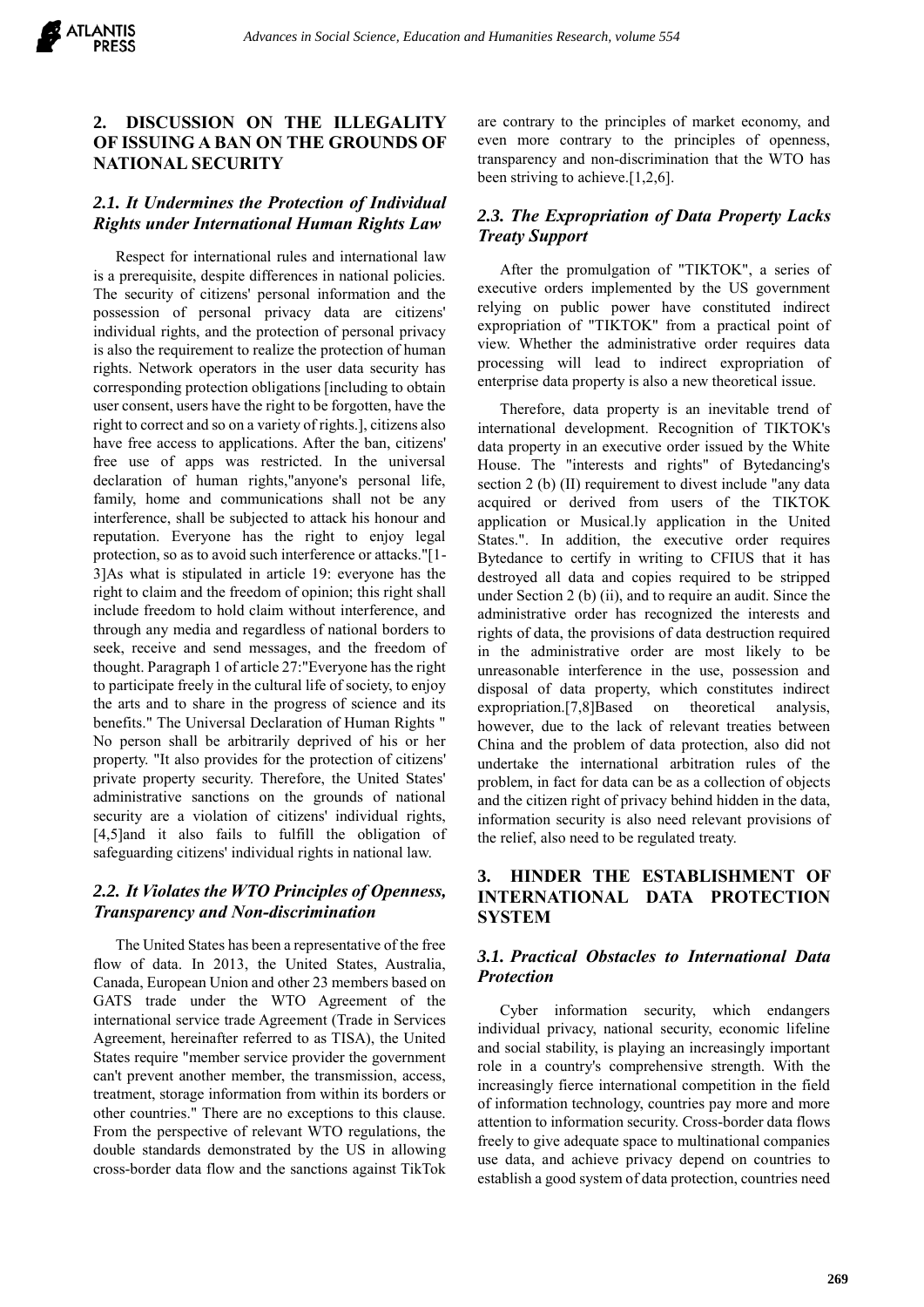# **2. DISCUSSION ON THE ILLEGALITY OF ISSUING A BAN ON THE GROUNDS OF NATIONAL SECURITY**

# *2.1. It Undermines the Protection of Individual Rights under International Human Rights Law*

Respect for international rules and international law is a prerequisite, despite differences in national policies. The security of citizens' personal information and the possession of personal privacy data are citizens' individual rights, and the protection of personal privacy is also the requirement to realize the protection of human rights. Network operators in the user data security has corresponding protection obligations [including to obtain user consent, users have the right to be forgotten, have the right to correct and so on a variety of rights.], citizens also have free access to applications. After the ban, citizens' free use of apps was restricted. In the universal declaration of human rights,"anyone's personal life, family, home and communications shall not be any interference, shall be subjected to attack his honour and reputation. Everyone has the right to enjoy legal protection, so as to avoid such interference or attacks."[1- 3]As what is stipulated in article 19: everyone has the right to claim and the freedom of opinion; this right shall include freedom to hold claim without interference, and through any media and regardless of national borders to seek, receive and send messages, and the freedom of thought. Paragraph 1 of article 27:"Everyone has the right to participate freely in the cultural life of society, to enjoy the arts and to share in the progress of science and its benefits." The Universal Declaration of Human Rights " No person shall be arbitrarily deprived of his or her property. "It also provides for the protection of citizens' private property security. Therefore, the United States' administrative sanctions on the grounds of national security are a violation of citizens' individual rights, [4,5]and it also fails to fulfill the obligation of safeguarding citizens' individual rights in national law.

# *2.2. It Violates the WTO Principles of Openness, Transparency and Non-discrimination*

The United States has been a representative of the free flow of data. In 2013, the United States, Australia, Canada, European Union and other 23 members based on GATS trade under the WTO Agreement of the international service trade Agreement (Trade in Services Agreement, hereinafter referred to as TISA), the United States require "member service provider the government can't prevent another member, the transmission, access, treatment, storage information from within its borders or other countries." There are no exceptions to this clause. From the perspective of relevant WTO regulations, the double standards demonstrated by the US in allowing cross-border data flow and the sanctions against TikTok

are contrary to the principles of market economy, and even more contrary to the principles of openness, transparency and non-discrimination that the WTO has been striving to achieve.[1,2,6].

### *2.3. The Expropriation of Data Property Lacks Treaty Support*

After the promulgation of "TIKTOK", a series of executive orders implemented by the US government relying on public power have constituted indirect expropriation of "TIKTOK" from a practical point of view. Whether the administrative order requires data processing will lead to indirect expropriation of enterprise data property is also a new theoretical issue.

Therefore, data property is an inevitable trend of international development. Recognition of TIKTOK's data property in an executive order issued by the White House. The "interests and rights" of Bytedancing's section 2 (b) (II) requirement to divest include "any data acquired or derived from users of the TIKTOK application or Musical.ly application in the United States.". In addition, the executive order requires Bytedance to certify in writing to CFIUS that it has destroyed all data and copies required to be stripped under Section 2 (b) (ii), and to require an audit. Since the administrative order has recognized the interests and rights of data, the provisions of data destruction required in the administrative order are most likely to be unreasonable interference in the use, possession and disposal of data property, which constitutes indirect expropriation.[7,8]Based on theoretical analysis, however, due to the lack of relevant treaties between China and the problem of data protection, also did not undertake the international arbitration rules of the problem, in fact for data can be as a collection of objects and the citizen right of privacy behind hidden in the data, information security is also need relevant provisions of the relief, also need to be regulated treaty.

# **3. HINDER THE ESTABLISHMENT OF INTERNATIONAL DATA PROTECTION SYSTEM**

#### *3.1. Practical Obstacles to International Data Protection*

Cyber information security, which endangers individual privacy, national security, economic lifeline and social stability, is playing an increasingly important role in a country's comprehensive strength. With the increasingly fierce international competition in the field of information technology, countries pay more and more attention to information security. Cross-border data flows freely to give adequate space to multinational companies use data, and achieve privacy depend on countries to establish a good system of data protection, countries need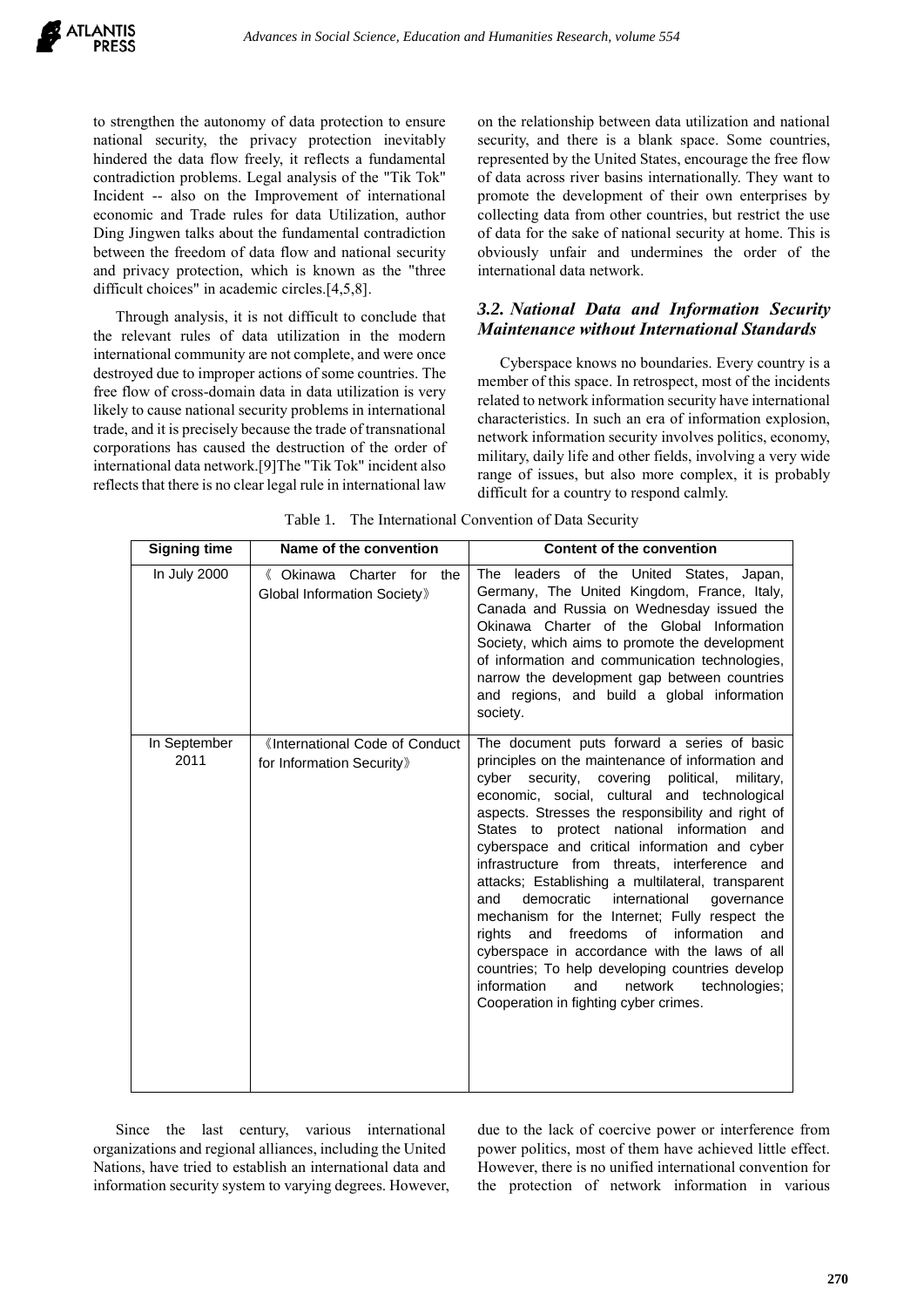to strengthen the autonomy of data protection to ensure national security, the privacy protection inevitably hindered the data flow freely, it reflects a fundamental contradiction problems. Legal analysis of the "Tik Tok" Incident -- also on the Improvement of international economic and Trade rules for data Utilization, author Ding Jingwen talks about the fundamental contradiction between the freedom of data flow and national security and privacy protection, which is known as the "three difficult choices" in academic circles.[4,5,8].

Through analysis, it is not difficult to conclude that the relevant rules of data utilization in the modern international community are not complete, and were once destroyed due to improper actions of some countries. The free flow of cross-domain data in data utilization is very likely to cause national security problems in international trade, and it is precisely because the trade of transnational corporations has caused the destruction of the order of international data network.[9]The "Tik Tok" incident also reflects that there is no clear legal rule in international law

on the relationship between data utilization and national security, and there is a blank space. Some countries, represented by the United States, encourage the free flow of data across river basins internationally. They want to promote the development of their own enterprises by collecting data from other countries, but restrict the use of data for the sake of national security at home. This is obviously unfair and undermines the order of the international data network.

# *3.2. National Data and Information Security Maintenance without International Standards*

Cyberspace knows no boundaries. Every country is a member of this space. In retrospect, most of the incidents related to network information security have international characteristics. In such an era of information explosion, network information security involves politics, economy, military, daily life and other fields, involving a very wide range of issues, but also more complex, it is probably difficult for a country to respond calmly.

| <b>Signing time</b>  | Name of the convention                                      | <b>Content of the convention</b>                                                                                                                                                                                                                                                                                                                                                                                                                                                                                                                                                                                                                                                                                                                                                                                                 |
|----------------------|-------------------------------------------------------------|----------------------------------------------------------------------------------------------------------------------------------------------------------------------------------------------------------------------------------------------------------------------------------------------------------------------------------------------------------------------------------------------------------------------------------------------------------------------------------------------------------------------------------------------------------------------------------------------------------------------------------------------------------------------------------------------------------------------------------------------------------------------------------------------------------------------------------|
| In July 2000         | 《 Okinawa Charter for<br>the<br>Global Information Society» | leaders of the<br>The<br>United States,<br>Japan,<br>Germany, The United Kingdom, France, Italy,<br>Canada and Russia on Wednesday issued the<br>Okinawa Charter of the Global Information<br>Society, which aims to promote the development<br>of information and communication technologies,<br>narrow the development gap between countries<br>and regions, and build a global information<br>society.                                                                                                                                                                                                                                                                                                                                                                                                                        |
| In September<br>2011 | «International Code of Conduct<br>for Information Security» | The document puts forward a series of basic<br>principles on the maintenance of information and<br>covering<br>political,<br>cyber<br>security,<br>military,<br>economic, social, cultural and technological<br>aspects. Stresses the responsibility and right of<br>States to protect national information and<br>cyberspace and critical information and cyber<br>infrastructure from threats, interference and<br>attacks; Establishing a multilateral, transparent<br>democratic<br>international<br>and<br>governance<br>mechanism for the Internet; Fully respect the<br>freedoms of<br>information<br>and<br>rights<br>and<br>cyberspace in accordance with the laws of all<br>countries; To help developing countries develop<br>information<br>and<br>network<br>technologies;<br>Cooperation in fighting cyber crimes. |

Table 1. The International Convention of Data Security

Since the last century, various international organizations and regional alliances, including the United Nations, have tried to establish an international data and information security system to varying degrees. However, due to the lack of coercive power or interference from power politics, most of them have achieved little effect. However, there is no unified international convention for the protection of network information in various